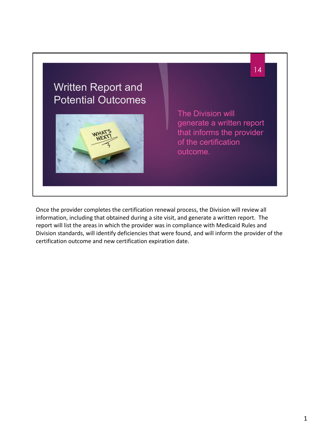

Once the provider completes the certification renewal process, the Division will review all information, including that obtained during a site visit, and generate a written report. The report will list the areas in which the provider was in compliance with Medicaid Rules and Division standards, will identify deficiencies that were found, and will inform the provider of the certification outcome and new certification expiration date.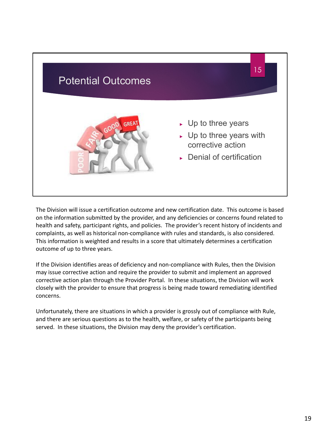

The Division will issue a certification outcome and new certification date. This outcome is based on the information submitted by the provider, and any deficiencies or concerns found related to health and safety, participant rights, and policies. The provider's recent history of incidents and complaints, as well as historical non-compliance with rules and standards, is also considered. This information is weighted and results in a score that ultimately determines a certification outcome of up to three years.

If the Division identifies areas of deficiency and non-compliance with Rules, then the Division may issue corrective action and require the provider to submit and implement an approved corrective action plan through the Provider Portal. In these situations, the Division will work closely with the provider to ensure that progress is being made toward remediating identified concerns.

Unfortunately, there are situations in which a provider is grossly out of compliance with Rule, and there are serious questions as to the health, welfare, or safety of the participants being served. In these situations, the Division may deny the provider's certification.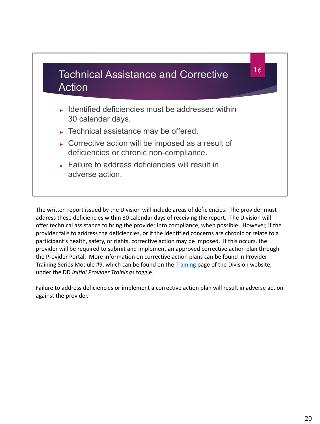

The written report issued by the Division will include areas of deficiencies. The provider must address these deficiencies within 30 calendar days of receiving the report. The Division will offer technical assistance to bring the provider into compliance, when possible. However, if the provider fails to address the deficiencies, or if the identified concerns are chronic or relate to a participant's health, safety, or rights, corrective action may be imposed. If this occurs, the provider will be required to submit and implement an approved corrective action plan through the Provider Portal. More information on corrective action plans can be found in Provider Training Series Module #9, which can be found on the [Training](https://health.wyo.gov/healthcarefin/hcbs/hcbs-training/) page of the Division website, under the DD *Initial Provider Trainings* toggle.

Failure to address deficiencies or implement a corrective action plan will result in adverse action against the provider.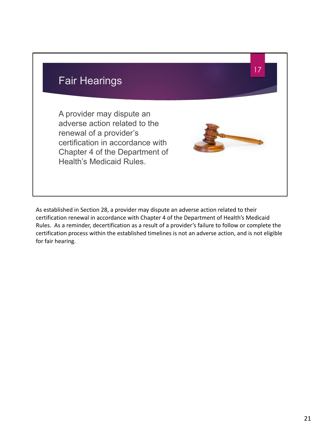

As established in Section 28, a provider may dispute an adverse action related to their certification renewal in accordance with Chapter 4 of the Department of Health's Medicaid Rules. As a reminder, decertification as a result of a provider's failure to follow or complete the certification process within the established timelines is not an adverse action, and is not eligible for fair hearing.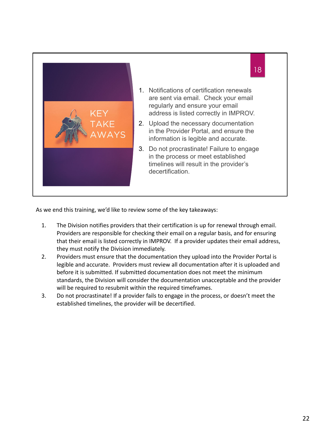

As we end this training, we'd like to review some of the key takeaways:

- 1. The Division notifies providers that their certification is up for renewal through email. Providers are responsible for checking their email on a regular basis, and for ensuring that their email is listed correctly in IMPROV. If a provider updates their email address, they must notify the Division immediately.
- 2. Providers must ensure that the documentation they upload into the Provider Portal is legible and accurate. Providers must review all documentation after it is uploaded and before it is submitted. If submitted documentation does not meet the minimum standards, the Division will consider the documentation unacceptable and the provider will be required to resubmit within the required timeframes.
- 3. Do not procrastinate! If a provider fails to engage in the process, or doesn't meet the established timelines, the provider will be decertified.